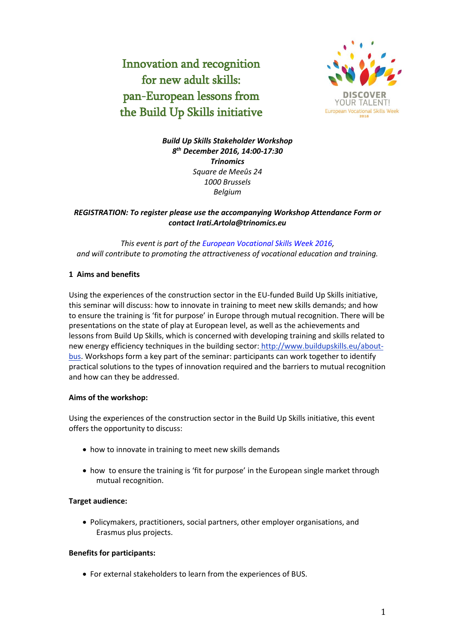Innovation and recognition for new adult skills: pan-European lessons from the Build Up Skills initiative



*Build Up Skills Stakeholder Workshop 8 th December 2016, 14:00-17:30 Trinomics Square de Meeûs 24 1000 Brussels Belgium*

# *REGISTRATION: To register please use the accompanying Workshop Attendance Form or contact Irati.Artola@trinomics.eu*

*This event is part of th[e European Vocational Skills Week 2016,](http://ec.europa.eu/social/VocationalSkillsWeek) and will contribute to promoting the attractiveness of vocational education and training.*

## **1 Aims and benefits**

Using the experiences of the construction sector in the EU-funded Build Up Skills initiative, this seminar will discuss: how to innovate in training to meet new skills demands; and how to ensure the training is 'fit for purpose' in Europe through mutual recognition. There will be presentations on the state of play at European level, as well as the achievements and lessons from Build Up Skills, which is concerned with developing training and skills related to new energy efficiency techniques in the building sector: http://www.buildupskills.eu/aboutbus. Workshops form a key part of the seminar: participants can work together to identify practical solutions to the types of innovation required and the barriers to mutual recognition and how can they be addressed.

#### **Aims of the workshop:**

Using the experiences of the construction sector in the Build Up Skills initiative, this event offers the opportunity to discuss:

- how to innovate in training to meet new skills demands
- how to ensure the training is 'fit for purpose' in the European single market through mutual recognition.

#### **Target audience:**

 Policymakers, practitioners, social partners, other employer organisations, and Erasmus plus projects.

#### **Benefits for participants:**

For external stakeholders to learn from the experiences of BUS.